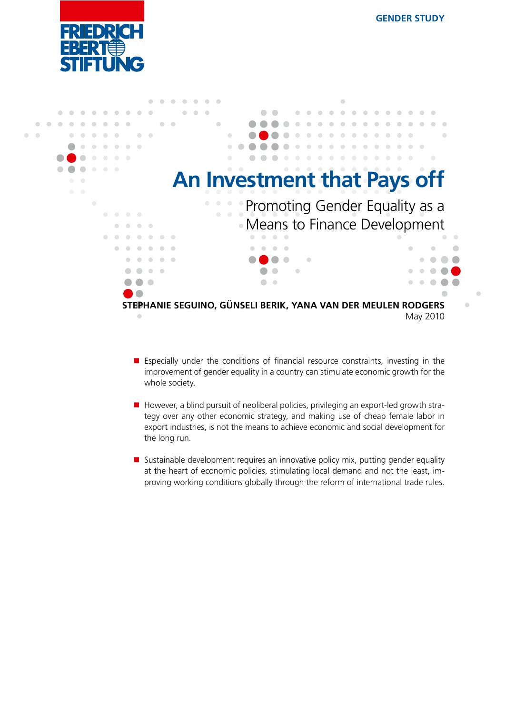$\bullet$  $\bullet$ 



|                                                                                                                                   |           | $\bigcirc$                                                                                        |          |
|-----------------------------------------------------------------------------------------------------------------------------------|-----------|---------------------------------------------------------------------------------------------------|----------|
|                                                                                                                                   |           |                                                                                                   |          |
|                                                                                                                                   |           |                                                                                                   |          |
|                                                                                                                                   |           |                                                                                                   |          |
| ۰                                                                                                                                 |           |                                                                                                   |          |
| $\bullet$<br>$\bigcirc$                                                                                                           |           |                                                                                                   |          |
| $\begin{array}{c} \begin{array}{c} \begin{array}{c} \begin{array}{c} \end{array} \end{array} \end{array} \end{array} \end{array}$ |           |                                                                                                   |          |
|                                                                                                                                   |           |                                                                                                   |          |
|                                                                                                                                   |           |                                                                                                   |          |
|                                                                                                                                   |           |                                                                                                   |          |
|                                                                                                                                   |           |                                                                                                   |          |
|                                                                                                                                   |           |                                                                                                   |          |
|                                                                                                                                   |           |                                                                                                   |          |
|                                                                                                                                   |           |                                                                                                   |          |
|                                                                                                                                   |           |                                                                                                   |          |
|                                                                                                                                   |           | STEPHANIE SEGUINO, GÜNSELI BERIK, YANA VAN DER MEULEN RODGERS                                     |          |
|                                                                                                                                   | $\bullet$ |                                                                                                   | May 2010 |
|                                                                                                                                   |           | An Investment that Pays off<br>• Promoting Gender Equality as a<br>• Means to Finance Development |          |

- **E** Especially under the conditions of financial resource constraints, investing in the improvement of gender equality in a country can stimulate economic growth for the whole society.
- However, a blind pursuit of neoliberal policies, privileging an export-led growth strategy over any other economic strategy, and making use of cheap female labor in export industries, is not the means to achieve economic and social development for the long run.
- **Sustainable development requires an innovative policy mix, putting gender equality** at the heart of economic policies, stimulating local demand and not the least, improving working conditions globally through the reform of international trade rules.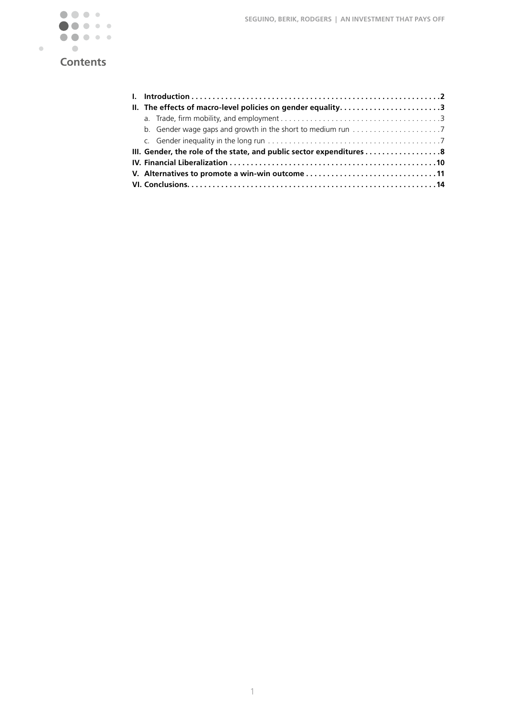

| II. The effects of macro-level policies on gender equality3          |  |
|----------------------------------------------------------------------|--|
|                                                                      |  |
|                                                                      |  |
|                                                                      |  |
| III. Gender, the role of the state, and public sector expenditures 8 |  |
|                                                                      |  |
| V. Alternatives to promote a win-win outcome 11                      |  |
|                                                                      |  |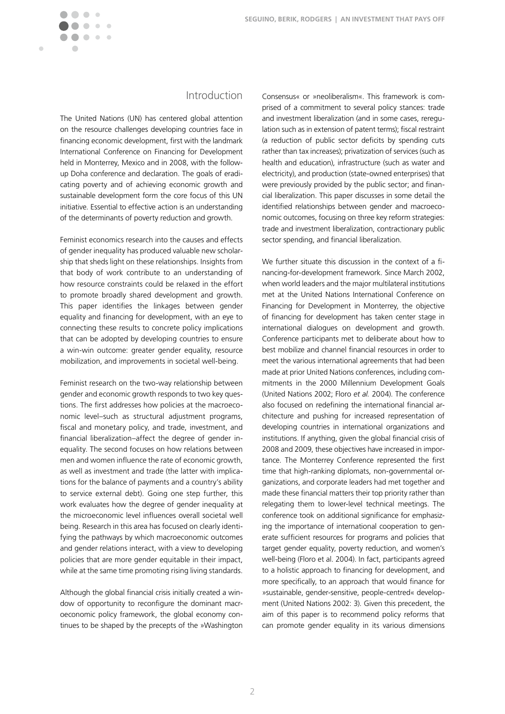$\blacksquare$ 

# Introduction

The United Nations (UN) has centered global attention on the resource challenges developing countries face in financing economic development, first with the landmark International Conference on Financing for Development held in Monterrey, Mexico and in 2008, with the followup Doha conference and declaration. The goals of eradicating poverty and of achieving economic growth and sustainable development form the core focus of this UN initiative. Essential to effective action is an understanding of the determinants of poverty reduction and growth.

Feminist economics research into the causes and effects of gender inequality has produced valuable new scholarship that sheds light on these relationships. Insights from that body of work contribute to an understanding of how resource constraints could be relaxed in the effort to promote broadly shared development and growth. This paper identifies the linkages between gender equality and financing for development, with an eye to connecting these results to concrete policy implications that can be adopted by developing countries to ensure a win-win outcome: greater gender equality, resource mobilization, and improvements in societal well-being.

Feminist research on the two-way relationship between gender and economic growth responds to two key questions. The first addresses how policies at the macroeconomic level–such as structural adjustment programs, fiscal and monetary policy, and trade, investment, and financial liberalization–affect the degree of gender inequality. The second focuses on how relations between men and women influence the rate of economic growth, as well as investment and trade (the latter with implications for the balance of payments and a country's ability to service external debt). Going one step further, this work evaluates how the degree of gender inequality at the microeconomic level influences overall societal well being. Research in this area has focused on clearly identifying the pathways by which macroeconomic outcomes and gender relations interact, with a view to developing policies that are more gender equitable in their impact, while at the same time promoting rising living standards.

Although the global financial crisis initially created a window of opportunity to reconfigure the dominant macroeconomic policy framework, the global economy continues to be shaped by the precepts of the »Washington

Consensus« or »neoliberalism«. This framework is comprised of a commitment to several policy stances: trade and investment liberalization (and in some cases, reregulation such as in extension of patent terms); fiscal restraint (a reduction of public sector deficits by spending cuts rather than tax increases); privatization of services (such as health and education), infrastructure (such as water and electricity), and production (state-owned enterprises) that were previously provided by the public sector; and financial liberalization. This paper discusses in some detail the identified relationships between gender and macroeconomic outcomes, focusing on three key reform strategies: trade and investment liberalization, contractionary public sector spending, and financial liberalization.

We further situate this discussion in the context of a financing-for-development framework. Since March 2002, when world leaders and the major multilateral institutions met at the United Nations International Conference on Financing for Development in Monterrey, the objective of financing for development has taken center stage in international dialogues on development and growth. Conference participants met to deliberate about how to best mobilize and channel financial resources in order to meet the various international agreements that had been made at prior United Nations conferences, including commitments in the 2000 Millennium Development Goals (United Nations 2002; Floro *et al.* 2004). The conference also focused on redefining the international financial architecture and pushing for increased representation of developing countries in international organizations and institutions. If anything, given the global financial crisis of 2008 and 2009, these objectives have increased in importance. The Monterrey Conference represented the first time that high-ranking diplomats, non-governmental organizations, and corporate leaders had met together and made these financial matters their top priority rather than relegating them to lower-level technical meetings. The conference took on additional significance for emphasizing the importance of international cooperation to generate sufficient resources for programs and policies that target gender equality, poverty reduction, and women's well-being (Floro et al. 2004). In fact, participants agreed to a holistic approach to financing for development, and more specifically, to an approach that would finance for »sustainable, gender-sensitive, people-centred« development (United Nations 2002: 3). Given this precedent, the aim of this paper is to recommend policy reforms that can promote gender equality in its various dimensions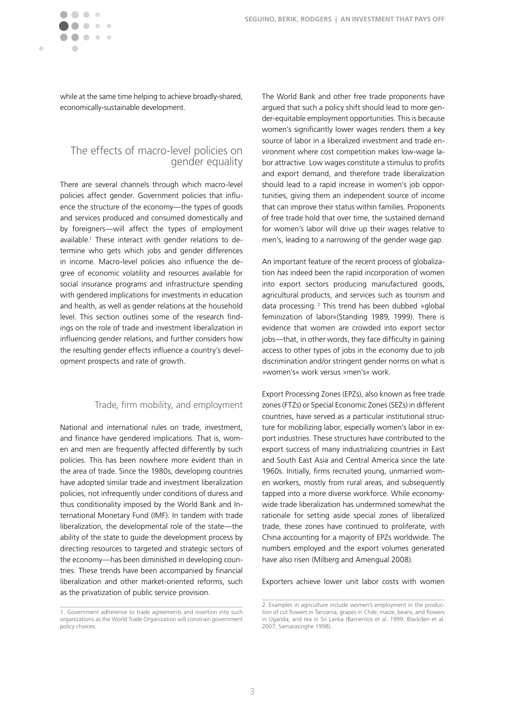

 $\blacksquare$ 

while at the same time helping to achieve broadly-shared, economically-sustainable development.

## The effects of macro-level policies on gender equality

There are several channels through which macro-level policies affect gender. Government policies that influence the structure of the economy—the types of goods and services produced and consumed domestically and by foreigners—will affect the types of employment available.1 These interact with gender relations to determine who gets which jobs and gender differences in income. Macro-level policies also influence the degree of economic volatility and resources available for social insurance programs and infrastructure spending with gendered implications for investments in education and health, as well as gender relations at the household level. This section outlines some of the research findings on the role of trade and investment liberalization in influencing gender relations, and further considers how the resulting gender effects influence a country's development prospects and rate of growth.

### Trade, firm mobility, and employment

National and international rules on trade, investment, and finance have gendered implications. That is, women and men are frequently affected differently by such policies. This has been nowhere more evident than in the area of trade. Since the 1980s, developing countries have adopted similar trade and investment liberalization policies, not infrequently under conditions of duress and thus conditionality imposed by the World Bank and International Monetary Fund (IMF). In tandem with trade liberalization, the developmental role of the state—the ability of the state to guide the development process by directing resources to targeted and strategic sectors of the economy—has been diminished in developing countries. These trends have been accompanied by financial liberalization and other market-oriented reforms, such as the privatization of public service provision.

The World Bank and other free trade proponents have argued that such a policy shift should lead to more gender-equitable employment opportunities. This is because women's significantly lower wages renders them a key source of labor in a liberalized investment and trade environment where cost competition makes low-wage labor attractive. Low wages constitute a stimulus to profits and export demand, and therefore trade liberalization should lead to a rapid increase in women's job opportunities, giving them an independent source of income that can improve their status within families. Proponents of free trade hold that over time, the sustained demand for women's labor will drive up their wages relative to men's, leading to a narrowing of the gender wage gap.

An important feature of the recent process of globalization *has* indeed been the rapid incorporation of women into export sectors producing manufactured goods, agricultural products, and services such as tourism and data processing.<sup>2</sup> This trend has been dubbed »global feminization of labor«(Standing 1989, 1999). There is evidence that women are crowded into export sector jobs—that, in other words, they face difficulty in gaining access to other types of jobs in the economy due to job discrimination and/or stringent gender norms on what is »women's« work versus »men's« work.

Export Processing Zones (EPZs), also known as free trade zones (FTZs) or Special Economic Zones (SEZs) in different countries, have served as a particular institutional structure for mobilizing labor, especially women's labor in export industries. These structures have contributed to the export success of many industrializing countries in East and South East Asia and Central America since the late 1960s. Initially, firms recruited young, unmarried women workers, mostly from rural areas, and subsequently tapped into a more diverse workforce. While economywide trade liberalization has undermined somewhat the rationale for setting aside special zones of liberalized trade, these zones have continued to proliferate, with China accounting for a majority of EPZs worldwide. The numbers employed and the export volumes generated have also risen (Milberg and Amengual 2008).

Exporters achieve lower unit labor costs with women

<sup>1.</sup> Government adherence to trade agreements and insertion into such organizations as the World Trade Organization will constrain government policy choices.

<sup>2.</sup> Examples in agriculture include women's employment in the production of cut flowers in Tanzania; grapes in Chile; maize, beans, and flowers in Uganda; and tea in Sri Lanka (Barrientos et al. 1999; Blackden et al. 2007; Samarasinghe 1998).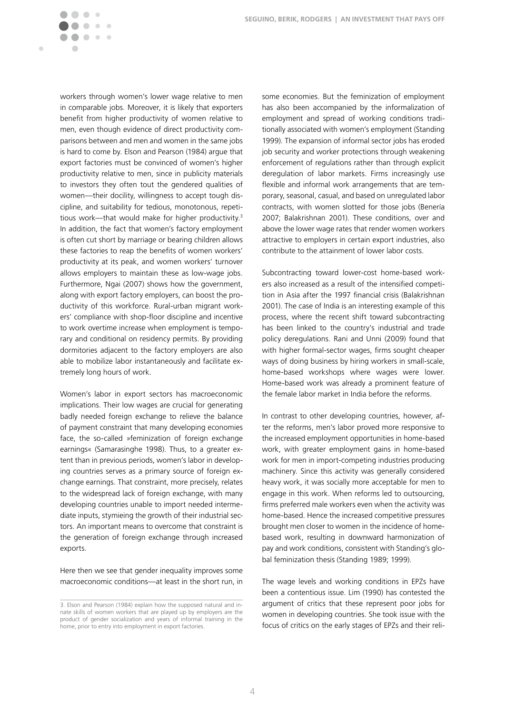workers through women's lower wage relative to men in comparable jobs. Moreover, it is likely that exporters benefit from higher productivity of women relative to men, even though evidence of direct productivity comparisons between and men and women in the same jobs is hard to come by. Elson and Pearson (1984) argue that export factories must be convinced of women's higher productivity relative to men, since in publicity materials to investors they often tout the gendered qualities of women—their docility, willingness to accept tough discipline, and suitability for tedious, monotonous, repetitious work—that would make for higher productivity.<sup>3</sup> In addition, the fact that women's factory employment is often cut short by marriage or bearing children allows these factories to reap the benefits of women workers' productivity at its peak, and women workers' turnover allows employers to maintain these as low-wage jobs. Furthermore, Ngai (2007) shows how the government, along with export factory employers, can boost the productivity of this workforce. Rural-urban migrant workers' compliance with shop-floor discipline and incentive to work overtime increase when employment is temporary and conditional on residency permits. By providing dormitories adjacent to the factory employers are also able to mobilize labor instantaneously and facilitate extremely long hours of work.

 $\bigcirc$  $\begin{array}{c} \begin{array}{c} \begin{array}{c} \end{array} \end{array} \end{array}$  $\bullet$ 

 $\bullet\bullet\bullet$ 

 $\sqrt{2}$  $\sqrt{2}$ 

Ċ

Women's labor in export sectors has macroeconomic implications. Their low wages are crucial for generating badly needed foreign exchange to relieve the balance of payment constraint that many developing economies face, the so-called »feminization of foreign exchange earnings« (Samarasinghe 1998). Thus, to a greater extent than in previous periods, women's labor in developing countries serves as a primary source of foreign exchange earnings. That constraint, more precisely, relates to the widespread lack of foreign exchange, with many developing countries unable to import needed intermediate inputs, stymieing the growth of their industrial sectors. An important means to overcome that constraint is the generation of foreign exchange through increased exports.

Here then we see that gender inequality improves some macroeconomic conditions—at least in the short run, in some economies. But the feminization of employment has also been accompanied by the informalization of employment and spread of working conditions traditionally associated with women's employment (Standing 1999). The expansion of informal sector jobs has eroded job security and worker protections through weakening enforcement of regulations rather than through explicit deregulation of labor markets. Firms increasingly use flexible and informal work arrangements that are temporary, seasonal, casual, and based on unregulated labor contracts, with women slotted for those jobs (Benería 2007; Balakrishnan 2001). These conditions, over and above the lower wage rates that render women workers attractive to employers in certain export industries, also contribute to the attainment of lower labor costs.

Subcontracting toward lower-cost home-based workers also increased as a result of the intensified competition in Asia after the 1997 financial crisis (Balakrishnan 2001). The case of India is an interesting example of this process, where the recent shift toward subcontracting has been linked to the country's industrial and trade policy deregulations. Rani and Unni (2009) found that with higher formal-sector wages, firms sought cheaper ways of doing business by hiring workers in small-scale, home-based workshops where wages were lower. Home-based work was already a prominent feature of the female labor market in India before the reforms.

In contrast to other developing countries, however, after the reforms, men's labor proved more responsive to the increased employment opportunities in home-based work, with greater employment gains in home-based work for men in import-competing industries producing machinery. Since this activity was generally considered heavy work, it was socially more acceptable for men to engage in this work. When reforms led to outsourcing, firms preferred male workers even when the activity was home-based. Hence the increased competitive pressures brought men closer to women in the incidence of homebased work, resulting in downward harmonization of pay and work conditions, consistent with Standing's global feminization thesis (Standing 1989; 1999).

The wage levels and working conditions in EPZs have been a contentious issue. Lim (1990) has contested the argument of critics that these represent poor jobs for women in developing countries. She took issue with the focus of critics on the early stages of EPZs and their reli-

<sup>3.</sup> Elson and Pearson (1984) explain how the supposed natural and innate skills of women workers that are played up by employers are the product of gender socialization and years of informal training in the home, prior to entry into employment in export factories.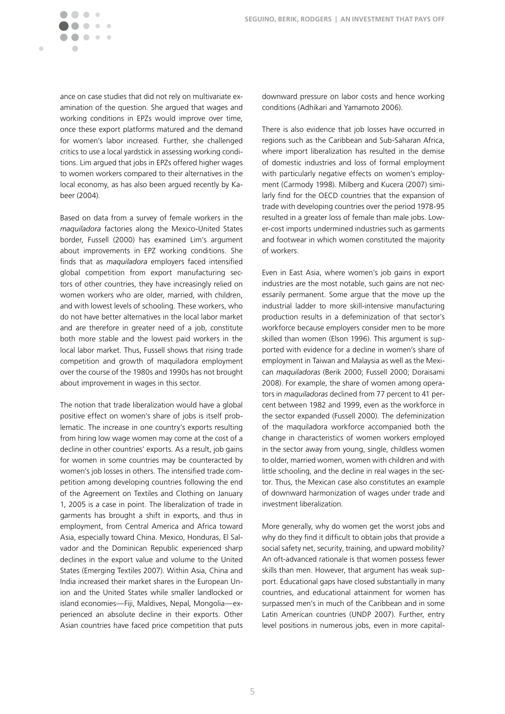ance on case studies that did not rely on multivariate examination of the question. She argued that wages and working conditions in EPZs would improve over time, once these export platforms matured and the demand for women's labor increased. Further, she challenged critics to use a local yardstick in assessing working conditions. Lim argued that jobs in EPZs offered higher wages to women workers compared to their alternatives in the local economy, as has also been argued recently by Kabeer (2004).

 $\bigcirc$  $\begin{array}{c} \begin{array}{c} \begin{array}{c} \end{array} \end{array} \end{array}$  $\bullet$ 

 $\bullet\bullet\bullet$ 

Ċ

Based on data from a survey of female workers in the *maquiladora* factories along the Mexico-United States border, Fussell (2000) has examined Lim's argument about improvements in EPZ working conditions. She finds that as *maquiladora* employers faced intensified global competition from export manufacturing sectors of other countries, they have increasingly relied on women workers who are older, married, with children, and with lowest levels of schooling. These workers, who do not have better alternatives in the local labor market and are therefore in greater need of a job, constitute both more stable and the lowest paid workers in the local labor market. Thus, Fussell shows that rising trade competition and growth of maquiladora employment over the course of the 1980s and 1990s has not brought about improvement in wages in this sector.

The notion that trade liberalization would have a global positive effect on women's share of jobs is itself problematic. The increase in one country's exports resulting from hiring low wage women may come at the cost of a decline in other countries' exports. As a result, job gains for women in some countries may be counteracted by women's job losses in others. The intensified trade competition among developing countries following the end of the Agreement on Textiles and Clothing on January 1, 2005 is a case in point. The liberalization of trade in garments has brought a shift in exports, and thus in employment, from Central America and Africa toward Asia, especially toward China. Mexico, Honduras, El Salvador and the Dominican Republic experienced sharp declines in the export value and volume to the United States (Emerging Textiles 2007). Within Asia, China and India increased their market shares in the European Union and the United States while smaller landlocked or island economies—Fiji, Maldives, Nepal, Mongolia—experienced an absolute decline in their exports. Other Asian countries have faced price competition that puts downward pressure on labor costs and hence working conditions (Adhikari and Yamamoto 2006).

There is also evidence that job losses have occurred in regions such as the Caribbean and Sub-Saharan Africa, where import liberalization has resulted in the demise of domestic industries and loss of formal employment with particularly negative effects on women's employment (Carmody 1998). Milberg and Kucera (2007) similarly find for the OECD countries that the expansion of trade with developing countries over the period 1978-95 resulted in a greater loss of female than male jobs. Lower-cost imports undermined industries such as garments and footwear in which women constituted the majority of workers.

Even in East Asia, where women's job gains in export industries are the most notable, such gains are not necessarily permanent. Some argue that the move up the industrial ladder to more skill-intensive manufacturing production results in a defeminization of that sector's workforce because employers consider men to be more skilled than women (Elson 1996). This argument is supported with evidence for a decline in women's share of employment in Taiwan and Malaysia as well as the Mexican *maquiladoras* (Berik 2000; Fussell 2000; Doraisami 2008). For example, the share of women among operators in *maquiladoras* declined from 77 percent to 41 percent between 1982 and 1999, even as the workforce in the sector expanded (Fussell 2000). The defeminization of the maquiladora workforce accompanied both the change in characteristics of women workers employed in the sector away from young, single, childless women to older, married women, women with children and with little schooling, and the decline in real wages in the sector. Thus, the Mexican case also constitutes an example of downward harmonization of wages under trade and investment liberalization.

More generally, why do women get the worst jobs and why do they find it difficult to obtain jobs that provide a social safety net, security, training, and upward mobility? An oft-advanced rationale is that women possess fewer skills than men. However, that argument has weak support. Educational gaps have closed substantially in many countries, and educational attainment for women has surpassed men's in much of the Caribbean and in some Latin American countries (UNDP 2007). Further, entry level positions in numerous jobs, even in more capital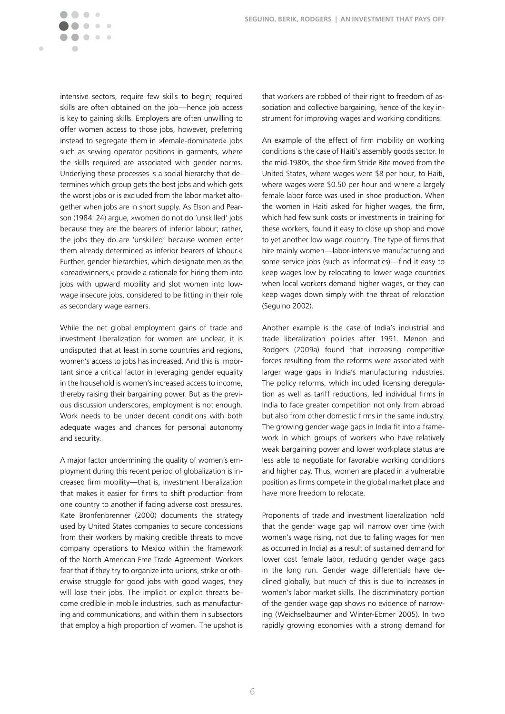intensive sectors, require few skills to begin; required skills are often obtained on the job—hence job access is key to gaining skills. Employers are often unwilling to offer women access to those jobs, however, preferring instead to segregate them in »female-dominated« jobs such as sewing operator positions in garments, where the skills required are associated with gender norms. Underlying these processes is a social hierarchy that determines which group gets the best jobs and which gets the worst jobs or is excluded from the labor market altogether when jobs are in short supply. As Elson and Pearson (1984: 24) argue, »women do not do 'unskilled' jobs because they are the bearers of inferior labour; rather, the jobs they do are 'unskilled' because women enter them already determined as inferior bearers of labour.« Further, gender hierarchies, which designate men as the »breadwinners,« provide a rationale for hiring them into jobs with upward mobility and slot women into lowwage insecure jobs, considered to be fitting in their role as secondary wage earners.

 $\blacksquare$  $\begin{array}{c} \begin{array}{c} \begin{array}{c} \end{array} \end{array} \end{array}$  $\bullet$   $\bullet$  $\bullet\bullet\bullet$ 

Ċ

While the net global employment gains of trade and investment liberalization for women are unclear, it is undisputed that at least in some countries and regions, women's access to jobs has increased. And this is important since a critical factor in leveraging gender equality in the household is women's increased access to income, thereby raising their bargaining power. But as the previous discussion underscores, employment is not enough. Work needs to be under decent conditions with both adequate wages and chances for personal autonomy and security.

A major factor undermining the quality of women's employment during this recent period of globalization is increased firm mobility—that is, investment liberalization that makes it easier for firms to shift production from one country to another if facing adverse cost pressures. Kate Bronfenbrenner (2000) documents the strategy used by United States companies to secure concessions from their workers by making credible threats to move company operations to Mexico within the framework of the North American Free Trade Agreement. Workers fear that if they try to organize into unions, strike or otherwise struggle for good jobs with good wages, they will lose their jobs. The implicit or explicit threats become credible in mobile industries, such as manufacturing and communications, and within them in subsectors that employ a high proportion of women. The upshot is

that workers are robbed of their right to freedom of association and collective bargaining, hence of the key instrument for improving wages and working conditions.

An example of the effect of firm mobility on working conditions is the case of Haiti's assembly goods sector. In the mid-1980s, the shoe firm Stride Rite moved from the United States, where wages were \$8 per hour, to Haiti, where wages were \$0.50 per hour and where a largely female labor force was used in shoe production. When the women in Haiti asked for higher wages, the firm, which had few sunk costs or investments in training for these workers, found it easy to close up shop and move to yet another low wage country. The type of firms that hire mainly women—labor-intensive manufacturing and some service jobs (such as informatics)—find it easy to keep wages low by relocating to lower wage countries when local workers demand higher wages, or they can keep wages down simply with the threat of relocation (Seguino 2002).

Another example is the case of India's industrial and trade liberalization policies after 1991. Menon and Rodgers (2009a) found that increasing competitive forces resulting from the reforms were associated with larger wage gaps in India's manufacturing industries. The policy reforms, which included licensing deregulation as well as tariff reductions, led individual firms in India to face greater competition not only from abroad but also from other domestic firms in the same industry. The growing gender wage gaps in India fit into a framework in which groups of workers who have relatively weak bargaining power and lower workplace status are less able to negotiate for favorable working conditions and higher pay. Thus, women are placed in a vulnerable position as firms compete in the global market place and have more freedom to relocate.

Proponents of trade and investment liberalization hold that the gender wage gap will narrow over time (with women's wage rising, not due to falling wages for men as occurred in India) as a result of sustained demand for lower cost female labor, reducing gender wage gaps in the long run. Gender wage differentials have declined globally, but much of this is due to increases in women's labor market skills. The discriminatory portion of the gender wage gap shows no evidence of narrowing (Weichselbaumer and Winter-Ebmer 2005). In two rapidly growing economies with a strong demand for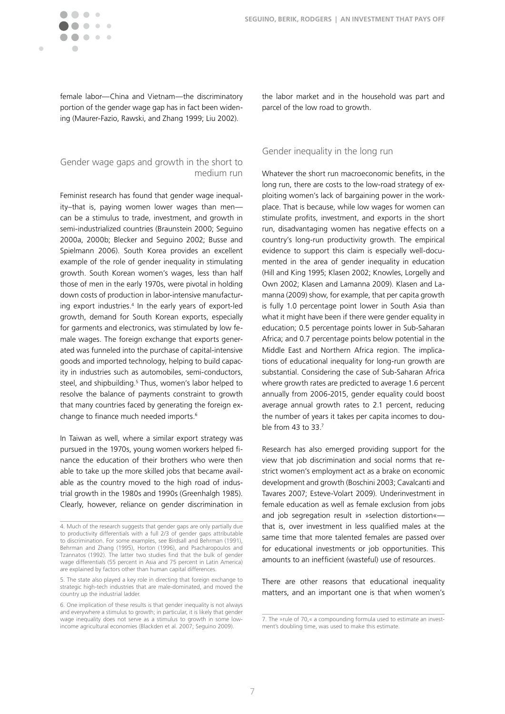$\blacksquare$ 

female labor—China and Vietnam—the discriminatory portion of the gender wage gap has in fact been widening (Maurer-Fazio, Rawski, and Zhang 1999; Liu 2002).

## Gender wage gaps and growth in the short to medium run

Feminist research has found that gender wage inequality–that is, paying women lower wages than men can be a stimulus to trade, investment, and growth in semi-industrialized countries (Braunstein 2000; Seguino 2000a, 2000b; Blecker and Seguino 2002; Busse and Spielmann 2006). South Korea provides an excellent example of the role of gender inequality in stimulating growth. South Korean women's wages, less than half those of men in the early 1970s, were pivotal in holding down costs of production in labor-intensive manufacturing export industries.4 In the early years of export-led growth, demand for South Korean exports, especially for garments and electronics, was stimulated by low female wages. The foreign exchange that exports generated was funneled into the purchase of capital-intensive goods and imported technology, helping to build capacity in industries such as automobiles, semi-conductors, steel, and shipbuilding.<sup>5</sup> Thus, women's labor helped to resolve the balance of payments constraint to growth that many countries faced by generating the foreign exchange to finance much needed imports.<sup>6</sup>

In Taiwan as well, where a similar export strategy was pursued in the 1970s, young women workers helped finance the education of their brothers who were then able to take up the more skilled jobs that became available as the country moved to the high road of industrial growth in the 1980s and 1990s (Greenhalgh 1985). Clearly, however, reliance on gender discrimination in the labor market and in the household was part and parcel of the low road to growth.

### Gender inequality in the long run

Whatever the short run macroeconomic benefits, in the long run, there are costs to the low-road strategy of exploiting women's lack of bargaining power in the workplace. That is because, while low wages for women can stimulate profits, investment, and exports in the short run, disadvantaging women has negative effects on a country's long-run productivity growth. The empirical evidence to support this claim is especially well-documented in the area of gender inequality in education (Hill and King 1995; Klasen 2002; Knowles, Lorgelly and Own 2002; Klasen and Lamanna 2009). Klasen and Lamanna (2009) show, for example, that per capita growth is fully 1.0 percentage point lower in South Asia than what it might have been if there were gender equality in education; 0.5 percentage points lower in Sub-Saharan Africa; and 0.7 percentage points below potential in the Middle East and Northern Africa region. The implications of educational inequality for long-run growth are substantial. Considering the case of Sub-Saharan Africa where growth rates are predicted to average 1.6 percent annually from 2006-2015, gender equality could boost average annual growth rates to 2.1 percent, reducing the number of years it takes per capita incomes to double from 43 to 33.7

Research has also emerged providing support for the view that job discrimination and social norms that restrict women's employment act as a brake on economic development and growth (Boschini 2003; Cavalcanti and Tavares 2007; Esteve-Volart 2009). Underinvestment in female education as well as female exclusion from jobs and job segregation result in »selection distortion« that is, over investment in less qualified males at the same time that more talented females are passed over for educational investments or job opportunities. This amounts to an inefficient (wasteful) use of resources.

There are other reasons that educational inequality matters, and an important one is that when women's

<sup>4.</sup> Much of the research suggests that gender gaps are only partially due to productivity differentials with a full 2/3 of gender gaps attributable to discrimination. For some examples, see Birdsall and Behrman (1991), Behrman and Zhang (1995), Horton (1996), and Psacharopoulos and Tzannatos (1992). The latter two studies find that the bulk of gender wage differentials (55 percent in Asia and 75 percent in Latin America) are explained by factors other than human capital differences.

<sup>5.</sup> The state also played a key role in directing that foreign exchange to strategic high-tech industries that are male-dominated, and moved the country up the industrial ladder.

<sup>6.</sup> One implication of these results is that gender inequality is not always and everywhere a stimulus to growth; in particular, it is likely that gender wage inequality does not serve as a stimulus to growth in some lowincome agricultural economies (Blackden et al. 2007; Seguino 2009).

<sup>7.</sup> The »rule of 70,« a compounding formula used to estimate an investment's doubling time, was used to make this estimate.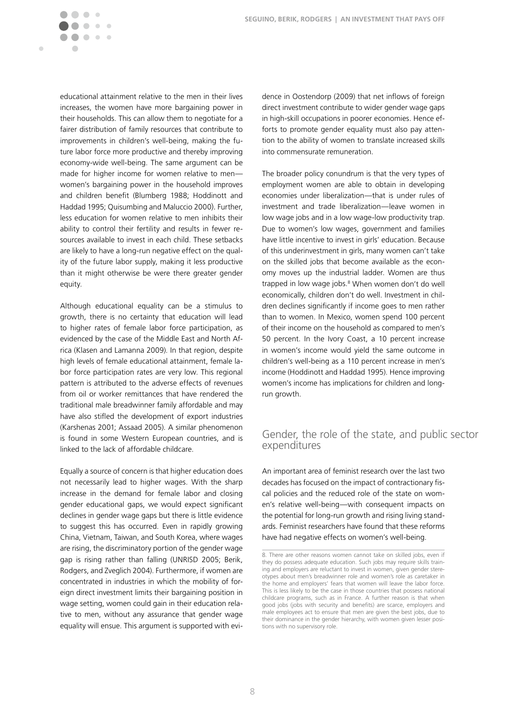educational attainment relative to the men in their lives increases, the women have more bargaining power in their households. This can allow them to negotiate for a fairer distribution of family resources that contribute to improvements in children's well-being, making the future labor force more productive and thereby improving economy-wide well-being. The same argument can be made for higher income for women relative to menwomen's bargaining power in the household improves and children benefit (Blumberg 1988; Hoddinott and Haddad 1995; Quisumbing and Maluccio 2000). Further, less education for women relative to men inhibits their ability to control their fertility and results in fewer resources available to invest in each child. These setbacks are likely to have a long-run negative effect on the quality of the future labor supply, making it less productive than it might otherwise be were there greater gender equity.

 $\bigcirc$  $\mathfrak{g}$  $\begin{array}{c} \bullet \\ \bullet \end{array}$  $\bullet$ 

◠  $\sqrt{2}$  $\sqrt{2}$  $\mathcal{L} = \mathcal{L}$ 

 $\blacksquare$ 

Although educational equality can be a stimulus to growth, there is no certainty that education will lead to higher rates of female labor force participation, as evidenced by the case of the Middle East and North Africa (Klasen and Lamanna 2009). In that region, despite high levels of female educational attainment, female labor force participation rates are very low. This regional pattern is attributed to the adverse effects of revenues from oil or worker remittances that have rendered the traditional male breadwinner family affordable and may have also stifled the development of export industries (Karshenas 2001; Assaad 2005). A similar phenomenon is found in some Western European countries, and is linked to the lack of affordable childcare.

Equally a source of concern is that higher education does not necessarily lead to higher wages. With the sharp increase in the demand for female labor and closing gender educational gaps, we would expect significant declines in gender wage gaps but there is little evidence to suggest this has occurred. Even in rapidly growing China, Vietnam, Taiwan, and South Korea, where wages are rising, the discriminatory portion of the gender wage gap is rising rather than falling (UNRISD 2005; Berik, Rodgers, and Zveglich 2004). Furthermore, if women are concentrated in industries in which the mobility of foreign direct investment limits their bargaining position in wage setting, women could gain in their education relative to men, without any assurance that gender wage equality will ensue. This argument is supported with evi-

dence in Oostendorp (2009) that net inflows of foreign direct investment contribute to wider gender wage gaps in high-skill occupations in poorer economies. Hence efforts to promote gender equality must also pay attention to the ability of women to translate increased skills into commensurate remuneration.

The broader policy conundrum is that the very types of employment women are able to obtain in developing economies under liberalization—that is under rules of investment and trade liberalization—leave women in low wage jobs and in a low wage-low productivity trap. Due to women's low wages, government and families have little incentive to invest in girls' education. Because of this underinvestment in girls, many women can't take on the skilled jobs that become available as the economy moves up the industrial ladder. Women are thus trapped in low wage jobs.<sup>8</sup> When women don't do well economically, children don't do well. Investment in children declines significantly if income goes to men rather than to women. In Mexico, women spend 100 percent of their income on the household as compared to men's 50 percent. In the Ivory Coast, a 10 percent increase in women's income would yield the same outcome in children's well-being as a 110 percent increase in men's income (Hoddinott and Haddad 1995). Hence improving women's income has implications for children and longrun growth.

# Gender, the role of the state, and public sector expenditures

An important area of feminist research over the last two decades has focused on the impact of contractionary fiscal policies and the reduced role of the state on women's relative well-being—with consequent impacts on the potential for long-run growth and rising living standards. Feminist researchers have found that these reforms have had negative effects on women's well-being.

<sup>8.</sup> There are other reasons women cannot take on skilled jobs, even if they do possess adequate education. Such jobs may require skills training and employers are reluctant to invest in women, given gender stereotypes about men's breadwinner role and women's role as caretaker in the home and employers' fears that women will leave the labor force. This is less likely to be the case in those countries that possess national childcare programs, such as in France. A further reason is that when good jobs (jobs with security and benefits) are scarce, employers and male employees act to ensure that men are given the best jobs, due to their dominance in the gender hierarchy, with women given lesser positions with no supervisory role.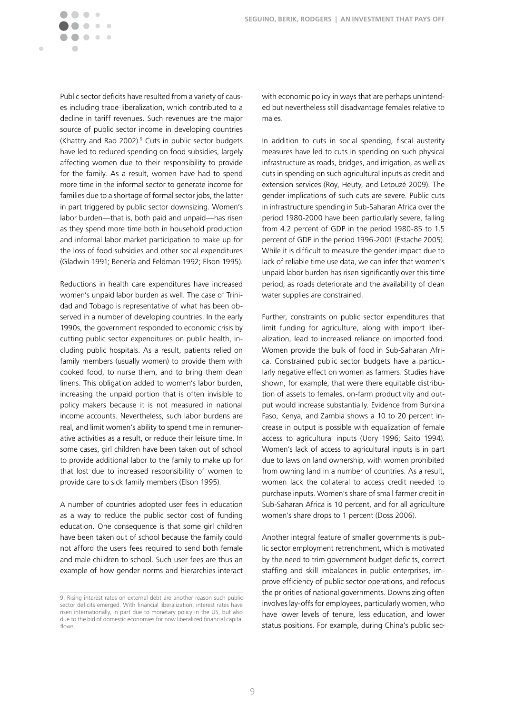Public sector deficits have resulted from a variety of causes including trade liberalization, which contributed to a decline in tariff revenues. Such revenues are the major source of public sector income in developing countries (Khattry and Rao 2002).<sup>9</sup> Cuts in public sector budgets have led to reduced spending on food subsidies, largely affecting women due to their responsibility to provide for the family. As a result, women have had to spend more time in the informal sector to generate income for families due to a shortage of formal sector jobs, the latter in part triggered by public sector downsizing. Women's labor burden—that is, both paid and unpaid—has risen as they spend more time both in household production and informal labor market participation to make up for the loss of food subsidies and other social expenditures (Gladwin 1991; Benería and Feldman 1992; Elson 1995).

 $\bigcirc$  $\begin{array}{c} \begin{array}{c} \begin{array}{c} \end{array} \end{array} \end{array}$  $\bullet$  $\overline{\phantom{a}}$ 

 $\sqrt{2}$  $\sqrt{2}$  $\mathcal{L} = \mathcal{L}$ 

 $\blacksquare$ 

Reductions in health care expenditures have increased women's unpaid labor burden as well. The case of Trinidad and Tobago is representative of what has been observed in a number of developing countries. In the early 1990s, the government responded to economic crisis by cutting public sector expenditures on public health, including public hospitals. As a result, patients relied on family members (usually women) to provide them with cooked food, to nurse them, and to bring them clean linens. This obligation added to women's labor burden, increasing the unpaid portion that is often invisible to policy makers because it is not measured in national income accounts. Nevertheless, such labor burdens are real, and limit women's ability to spend time in remunerative activities as a result, or reduce their leisure time. In some cases, girl children have been taken out of school to provide additional labor to the family to make up for that lost due to increased responsibility of women to provide care to sick family members (Elson 1995).

A number of countries adopted user fees in education as a way to reduce the public sector cost of funding education. One consequence is that some girl children have been taken out of school because the family could not afford the users fees required to send both female and male children to school. Such user fees are thus an example of how gender norms and hierarchies interact with economic policy in ways that are perhaps unintended but nevertheless still disadvantage females relative to males.

In addition to cuts in social spending, fiscal austerity measures have led to cuts in spending on such physical infrastructure as roads, bridges, and irrigation, as well as cuts in spending on such agricultural inputs as credit and extension services (Roy, Heuty, and Letouzé 2009). The gender implications of such cuts are severe. Public cuts in infrastructure spending in Sub-Saharan Africa over the period 1980-2000 have been particularly severe, falling from 4.2 percent of GDP in the period 1980-85 to 1.5 percent of GDP in the period 1996-2001 (Estache 2005). While it is difficult to measure the gender impact due to lack of reliable time use data, we can infer that women's unpaid labor burden has risen significantly over this time period, as roads deteriorate and the availability of clean water supplies are constrained.

Further, constraints on public sector expenditures that limit funding for agriculture, along with import liberalization, lead to increased reliance on imported food. Women provide the bulk of food in Sub-Saharan Africa. Constrained public sector budgets have a particularly negative effect on women as farmers. Studies have shown, for example, that were there equitable distribution of assets to females, on-farm productivity and output would increase substantially. Evidence from Burkina Faso, Kenya, and Zambia shows a 10 to 20 percent increase in output is possible with equalization of female access to agricultural inputs (Udry 1996; Saito 1994). Women's lack of access to agricultural inputs is in part due to laws on land ownership, with women prohibited from owning land in a number of countries. As a result, women lack the collateral to access credit needed to purchase inputs. Women's share of small farmer credit in Sub-Saharan Africa is 10 percent, and for all agriculture women's share drops to 1 percent (Doss 2006).

Another integral feature of smaller governments is public sector employment retrenchment, which is motivated by the need to trim government budget deficits, correct staffing and skill imbalances in public enterprises, improve efficiency of public sector operations, and refocus the priorities of national governments. Downsizing often involves lay-offs for employees, particularly women, who have lower levels of tenure, less education, and lower status positions. For example, during China's public sec-

<sup>9.</sup> Rising interest rates on external debt are another reason such public sector deficits emerged. With financial liberalization, interest rates have risen internationally, in part due to monetary policy in the US, but also due to the bid of domestic economies for now liberalized financial capital flows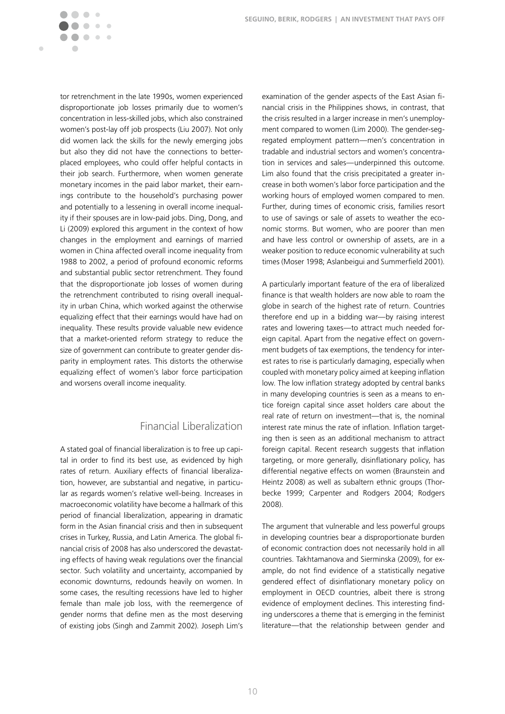tor retrenchment in the late 1990s, women experienced disproportionate job losses primarily due to women's concentration in less-skilled jobs, which also constrained women's post-lay off job prospects (Liu 2007). Not only did women lack the skills for the newly emerging jobs but also they did not have the connections to betterplaced employees, who could offer helpful contacts in their job search. Furthermore, when women generate monetary incomes in the paid labor market, their earnings contribute to the household's purchasing power and potentially to a lessening in overall income inequality if their spouses are in low-paid jobs. Ding, Dong, and Li (2009) explored this argument in the context of how changes in the employment and earnings of married women in China affected overall income inequality from 1988 to 2002, a period of profound economic reforms and substantial public sector retrenchment. They found that the disproportionate job losses of women during the retrenchment contributed to rising overall inequality in urban China, which worked against the otherwise equalizing effect that their earnings would have had on inequality. These results provide valuable new evidence that a market-oriented reform strategy to reduce the size of government can contribute to greater gender disparity in employment rates. This distorts the otherwise equalizing effect of women's labor force participation and worsens overall income inequality.

 $\bigcirc$  $\mathcal{C}$  $\sim$  $\blacksquare$  $\bullet\quad \bullet\quad \bullet$ 

Ċ

# Financial Liberalization

A stated goal of financial liberalization is to free up capital in order to find its best use, as evidenced by high rates of return. Auxiliary effects of financial liberalization, however, are substantial and negative, in particular as regards women's relative well-being. Increases in macroeconomic volatility have become a hallmark of this period of financial liberalization, appearing in dramatic form in the Asian financial crisis and then in subsequent crises in Turkey, Russia, and Latin America. The global financial crisis of 2008 has also underscored the devastating effects of having weak regulations over the financial sector. Such volatility and uncertainty, accompanied by economic downturns, redounds heavily on women. In some cases, the resulting recessions have led to higher female than male job loss, with the reemergence of gender norms that define men as the most deserving of existing jobs (Singh and Zammit 2002). Joseph Lim's

examination of the gender aspects of the East Asian financial crisis in the Philippines shows, in contrast, that the crisis resulted in a larger increase in men's unemployment compared to women (Lim 2000). The gender-segregated employment pattern—men's concentration in tradable and industrial sectors and women's concentration in services and sales—underpinned this outcome. Lim also found that the crisis precipitated a greater increase in both women's labor force participation and the working hours of employed women compared to men. Further, during times of economic crisis, families resort to use of savings or sale of assets to weather the economic storms. But women, who are poorer than men and have less control or ownership of assets, are in a weaker position to reduce economic vulnerability at such times (Moser 1998; Aslanbeigui and Summerfield 2001).

A particularly important feature of the era of liberalized finance is that wealth holders are now able to roam the globe in search of the highest rate of return. Countries therefore end up in a bidding war—by raising interest rates and lowering taxes—to attract much needed foreign capital. Apart from the negative effect on government budgets of tax exemptions, the tendency for interest rates to rise is particularly damaging, especially when coupled with monetary policy aimed at keeping inflation low. The low inflation strategy adopted by central banks in many developing countries is seen as a means to entice foreign capital since asset holders care about the real rate of return on investment—that is, the nominal interest rate minus the rate of inflation. Inflation targeting then is seen as an additional mechanism to attract foreign capital. Recent research suggests that inflation targeting, or more generally, disinflationary policy, has differential negative effects on women (Braunstein and Heintz 2008) as well as subaltern ethnic groups (Thorbecke 1999; Carpenter and Rodgers 2004; Rodgers 2008).

The argument that vulnerable and less powerful groups in developing countries bear a disproportionate burden of economic contraction does not necessarily hold in all countries. Takhtamanova and Sierminska (2009), for example, do not find evidence of a statistically negative gendered effect of disinflationary monetary policy on employment in OECD countries, albeit there is strong evidence of employment declines. This interesting finding underscores a theme that is emerging in the feminist literature—that the relationship between gender and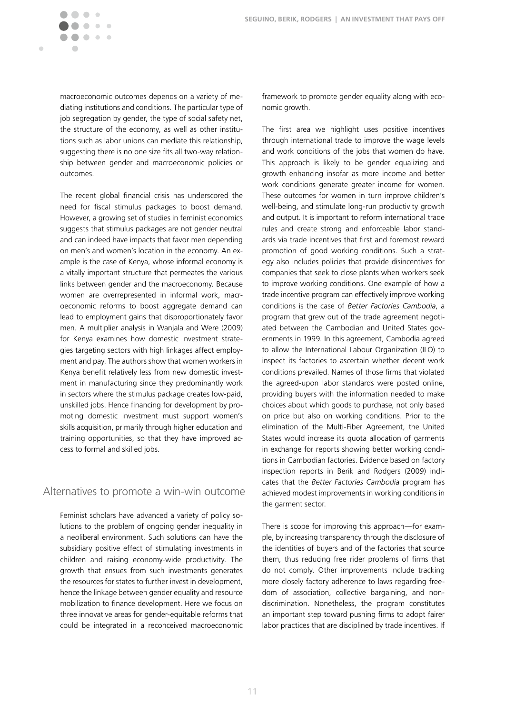macroeconomic outcomes depends on a variety of mediating institutions and conditions. The particular type of job segregation by gender, the type of social safety net, the structure of the economy, as well as other institutions such as labor unions can mediate this relationship, suggesting there is no one size fits all two-way relationship between gender and macroeconomic policies or outcomes.

 $\bigcirc$ 

Ċ

 $\bullet$  $\mathbf{A}$  and  $\mathbf{A}$ 

The recent global financial crisis has underscored the need for fiscal stimulus packages to boost demand. However, a growing set of studies in feminist economics suggests that stimulus packages are not gender neutral and can indeed have impacts that favor men depending on men's and women's location in the economy. An example is the case of Kenya, whose informal economy is a vitally important structure that permeates the various links between gender and the macroeconomy. Because women are overrepresented in informal work, macroeconomic reforms to boost aggregate demand can lead to employment gains that disproportionately favor men. A multiplier analysis in Wanjala and Were (2009) for Kenya examines how domestic investment strategies targeting sectors with high linkages affect employment and pay. The authors show that women workers in Kenya benefit relatively less from new domestic investment in manufacturing since they predominantly work in sectors where the stimulus package creates low-paid, unskilled jobs. Hence financing for development by promoting domestic investment must support women's skills acquisition, primarily through higher education and training opportunities, so that they have improved access to formal and skilled jobs.

## Alternatives to promote a win-win outcome

Feminist scholars have advanced a variety of policy solutions to the problem of ongoing gender inequality in a neoliberal environment. Such solutions can have the subsidiary positive effect of stimulating investments in children and raising economy-wide productivity. The growth that ensues from such investments generates the resources for states to further invest in development, hence the linkage between gender equality and resource mobilization to finance development. Here we focus on three innovative areas for gender-equitable reforms that could be integrated in a reconceived macroeconomic framework to promote gender equality along with economic growth.

The first area we highlight uses positive incentives through international trade to improve the wage levels and work conditions of the jobs that women do have. This approach is likely to be gender equalizing and growth enhancing insofar as more income and better work conditions generate greater income for women. These outcomes for women in turn improve children's well-being, and stimulate long-run productivity growth and output. It is important to reform international trade rules and create strong and enforceable labor standards via trade incentives that first and foremost reward promotion of good working conditions. Such a strategy also includes policies that provide disincentives for companies that seek to close plants when workers seek to improve working conditions. One example of how a trade incentive program can effectively improve working conditions is the case of *Better Factories Cambodia*, a program that grew out of the trade agreement negotiated between the Cambodian and United States governments in 1999. In this agreement, Cambodia agreed to allow the International Labour Organization (ILO) to inspect its factories to ascertain whether decent work conditions prevailed. Names of those firms that violated the agreed-upon labor standards were posted online, providing buyers with the information needed to make choices about which goods to purchase, not only based on price but also on working conditions. Prior to the elimination of the Multi-Fiber Agreement, the United States would increase its quota allocation of garments in exchange for reports showing better working conditions in Cambodian factories. Evidence based on factory inspection reports in Berik and Rodgers (2009) indicates that the *Better Factories Cambodia* program has achieved modest improvements in working conditions in the garment sector.

There is scope for improving this approach—for example, by increasing transparency through the disclosure of the identities of buyers and of the factories that source them, thus reducing free rider problems of firms that do not comply. Other improvements include tracking more closely factory adherence to laws regarding freedom of association, collective bargaining, and nondiscrimination. Nonetheless, the program constitutes an important step toward pushing firms to adopt fairer labor practices that are disciplined by trade incentives. If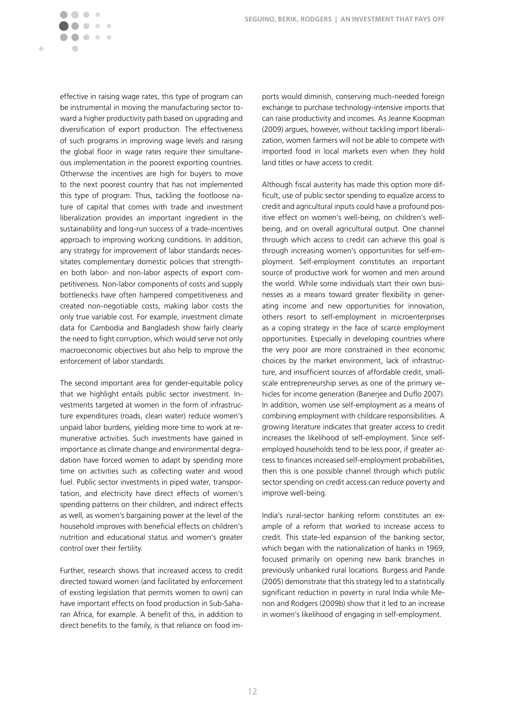effective in raising wage rates, this type of program can be instrumental in moving the manufacturing sector toward a higher productivity path based on upgrading and diversification of export production. The effectiveness of such programs in improving wage levels and raising the global floor in wage rates require their simultaneous implementation in the poorest exporting countries. Otherwise the incentives are high for buyers to move to the next poorest country that has not implemented this type of program. Thus, tackling the footloose nature of capital that comes with trade and investment liberalization provides an important ingredient in the sustainability and long-run success of a trade-incentives approach to improving working conditions. In addition, any strategy for improvement of labor standards necessitates complementary domestic policies that strengthen both labor- and non-labor aspects of export competitiveness. Non-labor components of costs and supply bottlenecks have often hampered competitiveness and created non-negotiable costs, making labor costs the only true variable cost. For example, investment climate data for Cambodia and Bangladesh show fairly clearly the need to fight corruption, which would serve not only macroeconomic objectives but also help to improve the enforcement of labor standards.

 $\bigcirc$  $\begin{array}{c} \begin{array}{c} \begin{array}{c} \end{array} \end{array} \end{array}$  $\bullet$   $\bullet$  $\bullet\bullet\bullet$ 

Ċ

The second important area for gender-equitable policy that we highlight entails public sector investment. Investments targeted at women in the form of infrastructure expenditures (roads, clean water) reduce women's unpaid labor burdens, yielding more time to work at remunerative activities. Such investments have gained in importance as climate change and environmental degradation have forced women to adapt by spending more time on activities such as collecting water and wood fuel. Public sector investments in piped water, transportation, and electricity have direct effects of women's spending patterns on their children, and indirect effects as well, as women's bargaining power at the level of the household improves with beneficial effects on children's nutrition and educational status and women's greater control over their fertility.

Further, research shows that increased access to credit directed toward women (and facilitated by enforcement of existing legislation that permits women to own) can have important effects on food production in Sub-Saharan Africa, for example. A benefit of this, in addition to direct benefits to the family, is that reliance on food im-

ports would diminish, conserving much-needed foreign exchange to purchase technology-intensive imports that can raise productivity and incomes. As Jeanne Koopman (2009) argues, however, without tackling import liberalization, women farmers will not be able to compete with imported food in local markets even when they hold land titles or have access to credit.

Although fiscal austerity has made this option more difficult, use of public sector spending to equalize access to credit and agricultural inputs could have a profound positive effect on women's well-being, on children's wellbeing, and on overall agricultural output. One channel through which access to credit can achieve this goal is through increasing women's opportunities for self-employment. Self-employment constitutes an important source of productive work for women and men around the world. While some individuals start their own businesses as a means toward greater flexibility in generating income and new opportunities for innovation, others resort to self-employment in microenterprises as a coping strategy in the face of scarce employment opportunities. Especially in developing countries where the very poor are more constrained in their economic choices by the market environment, lack of infrastructure, and insufficient sources of affordable credit, smallscale entrepreneurship serves as one of the primary vehicles for income generation (Banerjee and Duflo 2007). In addition, women use self-employment as a means of combining employment with childcare responsibilities. A growing literature indicates that greater access to credit increases the likelihood of self-employment. Since selfemployed households tend to be less poor, if greater access to finances increased self-employment probabilities, then this is one possible channel through which public sector spending on credit access can reduce poverty and improve well-being.

India's rural-sector banking reform constitutes an example of a reform that worked to increase access to credit. This state-led expansion of the banking sector, which began with the nationalization of banks in 1969, focused primarily on opening new bank branches in previously unbanked rural locations. Burgess and Pande (2005) demonstrate that this strategy led to a statistically significant reduction in poverty in rural India while Menon and Rodgers (2009b) show that it led to an increase in women's likelihood of engaging in self-employment.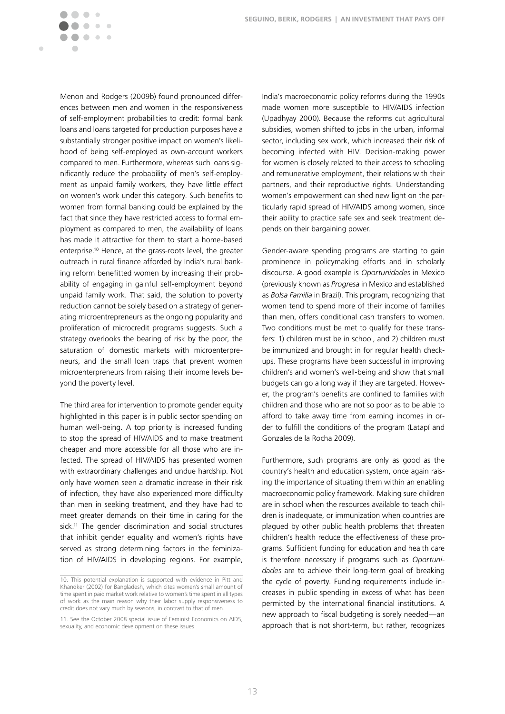Menon and Rodgers (2009b) found pronounced differences between men and women in the responsiveness of self-employment probabilities to credit: formal bank loans and loans targeted for production purposes have a substantially stronger positive impact on women's likelihood of being self-employed as own-account workers compared to men. Furthermore, whereas such loans significantly reduce the probability of men's self-employment as unpaid family workers, they have little effect on women's work under this category. Such benefits to women from formal banking could be explained by the fact that since they have restricted access to formal employment as compared to men, the availability of loans has made it attractive for them to start a home-based enterprise.10 Hence, at the grass-roots level, the greater outreach in rural finance afforded by India's rural banking reform benefitted women by increasing their probability of engaging in gainful self-employment beyond unpaid family work. That said, the solution to poverty reduction cannot be solely based on a strategy of generating microentrepreneurs as the ongoing popularity and proliferation of microcredit programs suggests. Such a strategy overlooks the bearing of risk by the poor, the saturation of domestic markets with microenterpreneurs, and the small loan traps that prevent women microenterpreneurs from raising their income levels beyond the poverty level.

 $\bigcirc$  $\begin{array}{c} \begin{array}{c} \begin{array}{c} \end{array} \end{array} \end{array}$  $\bullet$ 

 $\bullet\bullet\bullet$ 

 $\sqrt{2}$  $\sqrt{2}$ 

Ċ

The third area for intervention to promote gender equity highlighted in this paper is in public sector spending on human well-being. A top priority is increased funding to stop the spread of HIV/AIDS and to make treatment cheaper and more accessible for all those who are infected. The spread of HIV/AIDS has presented women with extraordinary challenges and undue hardship. Not only have women seen a dramatic increase in their risk of infection, they have also experienced more difficulty than men in seeking treatment, and they have had to meet greater demands on their time in caring for the sick.<sup>11</sup> The gender discrimination and social structures that inhibit gender equality and women's rights have served as strong determining factors in the feminization of HIV/AIDS in developing regions. For example, India's macroeconomic policy reforms during the 1990s made women more susceptible to HIV/AIDS infection (Upadhyay 2000). Because the reforms cut agricultural subsidies, women shifted to jobs in the urban, informal sector, including sex work, which increased their risk of becoming infected with HIV. Decision-making power for women is closely related to their access to schooling and remunerative employment, their relations with their partners, and their reproductive rights. Understanding women's empowerment can shed new light on the particularly rapid spread of HIV/AIDS among women, since their ability to practice safe sex and seek treatment depends on their bargaining power.

Gender-aware spending programs are starting to gain prominence in policymaking efforts and in scholarly discourse. A good example is *Oportunidades* in Mexico (previously known as *Progresa* in Mexico and established as *Bolsa Familia* in Brazil). This program, recognizing that women tend to spend more of their income of families than men, offers conditional cash transfers to women. Two conditions must be met to qualify for these transfers: 1) children must be in school, and 2) children must be immunized and brought in for regular health checkups. These programs have been successful in improving children's and women's well-being and show that small budgets can go a long way if they are targeted. However, the program's benefits are confined to families with children and those who are not so poor as to be able to afford to take away time from earning incomes in order to fulfill the conditions of the program (Latapí and Gonzales de la Rocha 2009).

Furthermore, such programs are only as good as the country's health and education system, once again raising the importance of situating them within an enabling macroeconomic policy framework. Making sure children are in school when the resources available to teach children is inadequate, or immunization when countries are plagued by other public health problems that threaten children's health reduce the effectiveness of these programs. Sufficient funding for education and health care is therefore necessary if programs such as *Oportunidades* are to achieve their long-term goal of breaking the cycle of poverty. Funding requirements include increases in public spending in excess of what has been permitted by the international financial institutions. A new approach to fiscal budgeting is sorely needed—an approach that is not short-term, but rather, recognizes

<sup>10.</sup> This potential explanation is supported with evidence in Pitt and Khandker (2002) for Bangladesh, which cites women's small amount of time spent in paid market work relative to women's time spent in all types of work as the main reason why their labor supply responsiveness to credit does not vary much by seasons, in contrast to that of men.

<sup>11.</sup> See the October 2008 special issue of Feminist Economics on AIDS, sexuality, and economic development on these issues.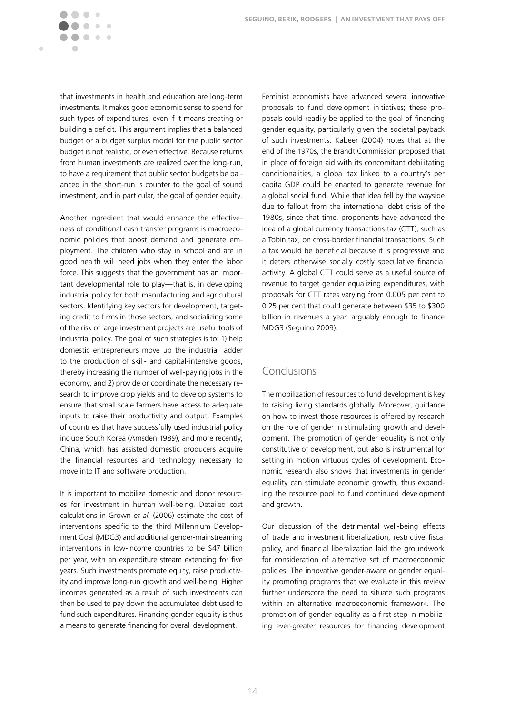that investments in health and education are long-term investments. It makes good economic sense to spend for such types of expenditures, even if it means creating or building a deficit. This argument implies that a balanced budget or a budget surplus model for the public sector budget is not realistic, or even effective. Because returns from human investments are realized over the long-run, to have a requirement that public sector budgets be balanced in the short-run is counter to the goal of sound investment, and in particular, the goal of gender equity.

 $\bigcirc$  $\mathfrak{g}$  $\overline{\phantom{a}}$  $\bullet\quad \bullet\quad \bullet$ 

Ċ

Another ingredient that would enhance the effectiveness of conditional cash transfer programs is macroeconomic policies that boost demand and generate employment. The children who stay in school and are in good health will need jobs when they enter the labor force. This suggests that the government has an important developmental role to play—that is, in developing industrial policy for both manufacturing and agricultural sectors. Identifying key sectors for development, targeting credit to firms in those sectors, and socializing some of the risk of large investment projects are useful tools of industrial policy. The goal of such strategies is to: 1) help domestic entrepreneurs move up the industrial ladder to the production of skill- and capital-intensive goods, thereby increasing the number of well-paying jobs in the economy, and 2) provide or coordinate the necessary research to improve crop yields and to develop systems to ensure that small scale farmers have access to adequate inputs to raise their productivity and output. Examples of countries that have successfully used industrial policy include South Korea (Amsden 1989), and more recently, China, which has assisted domestic producers acquire the financial resources and technology necessary to move into IT and software production.

It is important to mobilize domestic and donor resources for investment in human well-being. Detailed cost calculations in Grown *et al.* (2006) estimate the cost of interventions specific to the third Millennium Development Goal (MDG3) and additional gender-mainstreaming interventions in low-income countries to be \$47 billion per year, with an expenditure stream extending for five years. Such investments promote equity, raise productivity and improve long-run growth and well-being. Higher incomes generated as a result of such investments can then be used to pay down the accumulated debt used to fund such expenditures. Financing gender equality is thus a means to generate financing for overall development.

Feminist economists have advanced several innovative proposals to fund development initiatives; these proposals could readily be applied to the goal of financing gender equality, particularly given the societal payback of such investments. Kabeer (2004) notes that at the end of the 1970s, the Brandt Commission proposed that in place of foreign aid with its concomitant debilitating conditionalities, a global tax linked to a country's per capita GDP could be enacted to generate revenue for a global social fund. While that idea fell by the wayside due to fallout from the international debt crisis of the 1980s, since that time, proponents have advanced the idea of a global currency transactions tax (CTT), such as a Tobin tax, on cross-border financial transactions. Such a tax would be beneficial because it is progressive and it deters otherwise socially costly speculative financial activity. A global CTT could serve as a useful source of revenue to target gender equalizing expenditures, with proposals for CTT rates varying from 0.005 per cent to 0.25 per cent that could generate between \$35 to \$300 billion in revenues a year, arguably enough to finance MDG3 (Seguino 2009).

## Conclusions

The mobilization of resources to fund development is key to raising living standards globally. Moreover, guidance on how to invest those resources is offered by research on the role of gender in stimulating growth and development. The promotion of gender equality is not only constitutive of development, but also is instrumental for setting in motion virtuous cycles of development. Economic research also shows that investments in gender equality can stimulate economic growth, thus expanding the resource pool to fund continued development and growth.

Our discussion of the detrimental well-being effects of trade and investment liberalization, restrictive fiscal policy, and financial liberalization laid the groundwork for consideration of alternative set of macroeconomic policies. The innovative gender-aware or gender equality promoting programs that we evaluate in this review further underscore the need to situate such programs within an alternative macroeconomic framework. The promotion of gender equality as a first step in mobilizing ever-greater resources for financing development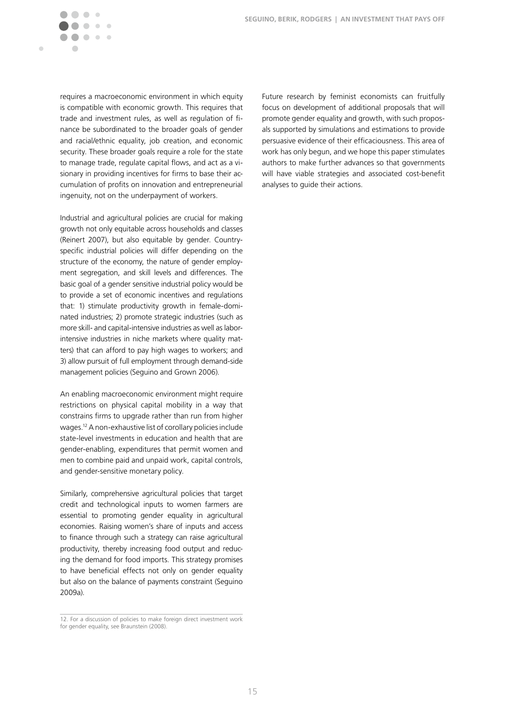

requires a macroeconomic environment in which equity is compatible with economic growth. This requires that trade and investment rules, as well as regulation of finance be subordinated to the broader goals of gender and racial/ethnic equality, job creation, and economic security. These broader goals require a role for the state to manage trade, regulate capital flows, and act as a visionary in providing incentives for firms to base their accumulation of profits on innovation and entrepreneurial ingenuity, not on the underpayment of workers.

Industrial and agricultural policies are crucial for making growth not only equitable across households and classes (Reinert 2007), but also equitable by gender. Countryspecific industrial policies will differ depending on the structure of the economy, the nature of gender employment segregation, and skill levels and differences. The basic goal of a gender sensitive industrial policy would be to provide a set of economic incentives and regulations that: 1) stimulate productivity growth in female-dominated industries; 2) promote strategic industries (such as more skill- and capital-intensive industries as well as laborintensive industries in niche markets where quality matters) that can afford to pay high wages to workers; and 3) allow pursuit of full employment through demand-side management policies (Seguino and Grown 2006).

An enabling macroeconomic environment might require restrictions on physical capital mobility in a way that constrains firms to upgrade rather than run from higher wages.12 A non-exhaustive list of corollary policies include state-level investments in education and health that are gender-enabling, expenditures that permit women and men to combine paid and unpaid work, capital controls, and gender-sensitive monetary policy.

Similarly, comprehensive agricultural policies that target credit and technological inputs to women farmers are essential to promoting gender equality in agricultural economies. Raising women's share of inputs and access to finance through such a strategy can raise agricultural productivity, thereby increasing food output and reducing the demand for food imports. This strategy promises to have beneficial effects not only on gender equality but also on the balance of payments constraint (Seguino 2009a).

Future research by feminist economists can fruitfully focus on development of additional proposals that will promote gender equality and growth, with such proposals supported by simulations and estimations to provide persuasive evidence of their efficaciousness. This area of work has only begun, and we hope this paper stimulates authors to make further advances so that governments will have viable strategies and associated cost-benefit analyses to guide their actions.

<sup>12.</sup> For a discussion of policies to make foreign direct investment work for gender equality, see Braunstein (2008).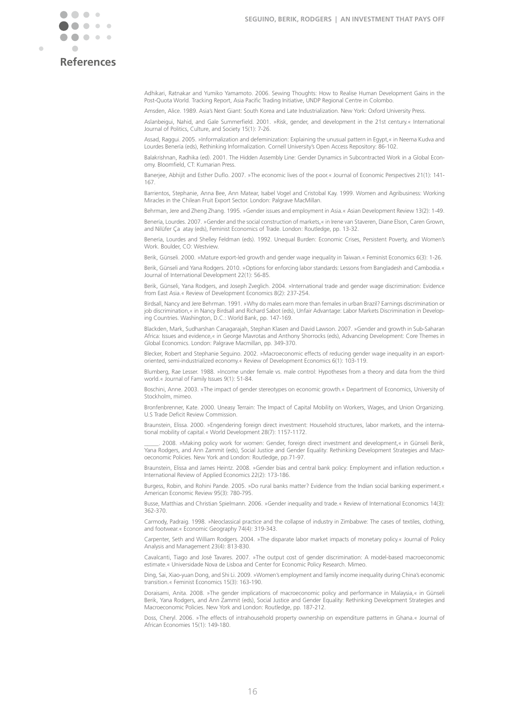

Ċ

**References**

Adhikari, Ratnakar and Yumiko Yamamoto. 2006. Sewing Thoughts: How to Realise Human Development Gains in the Post-Quota World. Tracking Report, Asia Pacific Trading Initiative, UNDP Regional Centre in Colombo.

Amsden, Alice. 1989. Asia's Next Giant: South Korea and Late Industrialization. New York: Oxford University Press.

Aslanbeigui, Nahid, and Gale Summerfield. 2001. »Risk, gender, and development in the 21st century.« International Journal of Politics, Culture, and Society 15(1): 7-26.

Assad, Raggui. 2005. »Informalization and defeminization: Explaining the unusual pattern in Egypt,« in Neema Kudva and Lourdes Benería (eds), Rethinking Informalization. Cornell University's Open Access Repository: 86-102.

Balakrishnan, Radhika (ed). 2001. The Hidden Assembly Line: Gender Dynamics in Subcontracted Work in a Global Economy. Bloomfield, CT: Kumarian Press.

Banerjee, Abhijit and Esther Duflo. 2007. »The economic lives of the poor.« Journal of Economic Perspectives 21(1): 141-167.

Barrientos, Stephanie, Anna Bee, Ann Matear, Isabel Vogel and Cristobal Kay. 1999. Women and Agribusiness: Working Miracles in the Chilean Fruit Export Sector. London: Palgrave MacMillan.

Behrman, Jere and Zheng Zhang. 1995. »Gender issues and employment in Asia.« Asian Development Review 13(2): 1-49.

Benería, Lourdes. 2007. »Gender and the social construction of markets,« in Irene van Staveren, Diane Elson, Caren Grown, and Nilüfer Ça atay (eds), Feminist Economics of Trade. London: Routledge, pp. 13-32.

Benería, Lourdes and Shelley Feldman (eds). 1992. Unequal Burden: Economic Crises, Persistent Poverty, and Women's Work. Boulder, CO: Westview.

Berik, Günseli. 2000. »Mature export-led growth and gender wage inequality in Taiwan.« Feminist Economics 6(3): 1-26.

Berik, Günseli and Yana Rodgers. 2010. »Options for enforcing labor standards: Lessons from Bangladesh and Cambodia.« Journal of International Development 22(1): 56-85.

Berik, Günseli, Yana Rodgers, and Joseph Zveglich. 2004. »International trade and gender wage discrimination: Evidence from East Asia.« Review of Development Economics 8(2): 237-254.

Birdsall, Nancy and Jere Behrman. 1991. »Why do males earn more than females in urban Brazil? Earnings discrimination or job discrimination,« in Nancy Birdsall and Richard Sabot (eds), Unfair Advantage: Labor Markets Discrimination in Developing Countries. Washington, D.C.: World Bank, pp. 147-169.

Blackden, Mark, Sudharshan Canagarajah, Stephan Klasen and David Lawson. 2007. »Gender and growth in Sub-Saharan Africa: Issues and evidence,« in George Mavrotas and Anthony Shorrocks (eds), Advancing Development: Core Themes in Global Economics. London: Palgrave Macmillan, pp. 349-370.

Blecker, Robert and Stephanie Seguino. 2002. »Macroeconomic effects of reducing gender wage inequality in an exportoriented, semi-industrialized economy.« Review of Development Economics 6(1): 103-119.

Blumberg, Rae Lesser. 1988. »Income under female vs. male control: Hypotheses from a theory and data from the third world.« Journal of Family Issues 9(1): 51-84.

Boschini, Anne. 2003. »The impact of gender stereotypes on economic growth.« Department of Economics, University of Stockholm, mimeo.

Bronfenbrenner, Kate. 2000. Uneasy Terrain: The Impact of Capital Mobility on Workers, Wages, and Union Organizing. U.S Trade Deficit Review Commission.

Braunstein, Elissa. 2000. »Engendering foreign direct investment: Household structures, labor markets, and the international mobility of capital.« World Development 28(7): 1157-1172.

\_\_\_\_\_. 2008. »Making policy work for women: Gender, foreign direct investment and development,« in Günseli Berik, Yana Rodgers, and Ann Zammit (eds), Social Justice and Gender Equality: Rethinking Development Strategies and Macroeconomic Policies. New York and London: Routledge, pp.71-97.

Braunstein, Elissa and James Heintz. 2008. »Gender bias and central bank policy: Employment and inflation reduction.« International Review of Applied Economics 22(2): 173-186.

Burgess, Robin, and Rohini Pande. 2005. »Do rural banks matter? Evidence from the Indian social banking experiment.« American Economic Review 95(3): 780-795.

Busse, Matthias and Christian Spielmann. 2006. »Gender inequality and trade.« Review of International Economics 14(3): 362-370.

Carmody, Padraig. 1998. »Neoclassical practice and the collapse of industry in Zimbabwe: The cases of textiles, clothing, and footwear.« Economic Geography 74(4): 319-343.

Carpenter, Seth and William Rodgers. 2004. »The disparate labor market impacts of monetary policy.« Journal of Policy Analysis and Management 23(4): 813-830.

Cavalcanti, Tiago and José Tavares. 2007. »The output cost of gender discrimination: A model-based macroeconomic estimate.« Universidade Nova de Lisboa and Center for Economic Policy Research. Mimeo.

Ding, Sai, Xiao-yuan Dong, and Shi Li. 2009. »Women's employment and family income inequality during China's economic transition.« Feminist Economics 15(3): 163-190.

Doraisami, Anita. 2008. »The gender implications of macroeconomic policy and performance in Malaysia,« in Günseli Berik, Yana Rodgers, and Ann Zammit (eds), Social Justice and Gender Equality: Rethinking Development Strategies and Macroeconomic Policies. New York and London: Routledge, pp. 187-212.

Doss, Cheryl. 2006. »The effects of intrahousehold property ownership on expenditure patterns in Ghana.« Journal of African Economies 15(1): 149-180.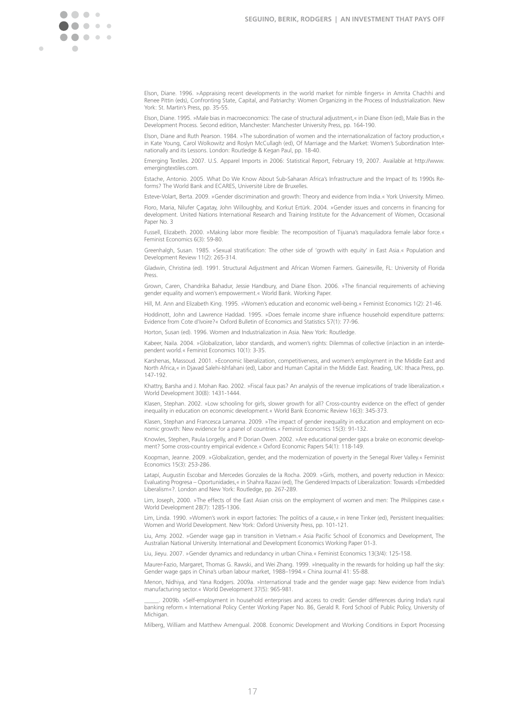Ċ

Elson, Diane. 1996. »Appraising recent developments in the world market for nimble fingers« in Amrita Chachhi and Renee Pittin (eds), Confronting State, Capital, and Patriarchy: Women Organizing in the Process of Industrialization. New York: St. Martin's Press, pp. 35-55.

Elson, Diane. 1995. »Male bias in macroeconomics: The case of structural adjustment,« in Diane Elson (ed), Male Bias in the Development Process. Second edition, Manchester: Manchester University Press, pp. 164-190.

Elson, Diane and Ruth Pearson. 1984. »The subordination of women and the internationalization of factory production,« in Kate Young, Carol Wolkowitz and Roslyn McCullagh (ed), Of Marriage and the Market: Women's Subordination Internationally and its Lessons. London: Routledge & Kegan Paul, pp. 18-40.

Emerging Textiles. 2007. U.S. Apparel Imports in 2006: Statistical Report, February 19, 2007. Available at http://www. emergingtextiles.com.

Estache, Antonio. 2005. What Do We Know About Sub-Saharan Africa's Infrastructure and the Impact of Its 1990s Reforms? The World Bank and ECARES, Université Libre de Bruxelles.

Esteve-Volart, Berta. 2009. »Gender discrimination and growth: Theory and evidence from India.« York University. Mimeo.

Floro, Maria, Nilufer Çagatay, John Willoughby, and Korkut Ertürk. 2004. »Gender issues and concerns in financing for development. United Nations International Research and Training Institute for the Advancement of Women, Occasional Paper No. 3

Fussell, Elizabeth. 2000. »Making labor more flexible: The recomposition of Tijuana's maquiladora female labor force.« Feminist Economics 6(3): 59-80.

Greenhalgh, Susan. 1985. »Sexual stratification: The other side of 'growth with equity' in East Asia.« Population and Development Review 11(2): 265-314.

Gladwin, Christina (ed). 1991. Structural Adjustment and African Women Farmers. Gainesville, FL: University of Florida Press.

Grown, Caren, Chandrika Bahadur, Jessie Handbury, and Diane Elson. 2006. »The financial requirements of achieving gender equality and women's empowerment.« World Bank. Working Paper.

Hill, M. Ann and Elizabeth King. 1995. »Women's education and economic well-being.« Feminist Economics 1(2): 21-46.

Hoddinott, John and Lawrence Haddad. 1995. »Does female income share influence household expenditure patterns: Evidence from Cote d'Ivoire?« Oxford Bulletin of Economics and Statistics 57(1): 77-96.

Horton, Susan (ed). 1996. Women and Industrialization in Asia. New York: Routledge.

Kabeer, Naila. 2004. »Globalization, labor standards, and women's rights: Dilemmas of collective (in)action in an interdependent world.« Feminist Economics 10(1): 3-35.

Karshenas, Massoud. 2001. »Economic liberalization, competitiveness, and women's employment in the Middle East and North Africa,« in Djavad Salehi-Ishfahani (ed), Labor and Human Capital in the Middle East. Reading, UK: Ithaca Press, pp. 147-192.

Khattry, Barsha and J. Mohan Rao. 2002. »Fiscal faux pas? An analysis of the revenue implications of trade liberalization.« World Development 30(8): 1431-1444.

Klasen, Stephan. 2002. »Low schooling for girls, slower growth for all? Cross-country evidence on the effect of gender inequality in education on economic development.« World Bank Economic Review 16(3): 345-373.

Klasen, Stephan and Francesca Lamanna. 2009. »The impact of gender inequality in education and employment on economic growth: New evidence for a panel of countries.« Feminist Economics 15(3): 91-132.

Knowles, Stephen, Paula Lorgelly, and P. Dorian Owen. 2002. »Are educational gender gaps a brake on economic development? Some cross-country empirical evidence.« Oxford Economic Papers 54(1): 118-149.

Koopman, Jeanne. 2009. »Globalization, gender, and the modernization of poverty in the Senegal River Valley.« Feminist Economics 15(3): 253-286.

Latapí, Augustin Escobar and Mercedes Gonzales de la Rocha. 2009. »Girls, mothers, and poverty reduction in Mexico: Evaluating Progresa – Oportunidades,« in Shahra Razavi (ed), The Gendered Impacts of Liberalization: Towards »Embedded Liberalism«?. London and New York: Routledge, pp. 267-289.

Lim, Joseph, 2000. »The effects of the East Asian crisis on the employment of women and men: The Philippines case.« World Development 28(7): 1285-1306.

Lim, Linda. 1990. »Women's work in export factories: The politics of a cause,« in Irene Tinker (ed), Persistent Inequalities: Women and World Development. New York: Oxford University Press, pp. 101-121.

Liu, Amy. 2002. »Gender wage gap in transition in Vietnam.« Asia Pacific School of Economics and Development, The Australian National University. International and Development Economics Working Paper 01-3.

Liu, Jieyu. 2007. »Gender dynamics and redundancy in urban China.« Feminist Economics 13(3/4): 125-158.

Maurer-Fazio, Margaret, Thomas G. Rawski, and Wei Zhang. 1999. »Inequality in the rewards for holding up half the sky: Gender wage gaps in China's urban labour market, 1988–1994.« China Journal 41: 55-88.

Menon, Nidhiya, and Yana Rodgers. 2009a. »International trade and the gender wage gap: New evidence from India's manufacturing sector.« World Development 37(5): 965-981.

\_\_\_\_\_. 2009b. »Self-employment in household enterprises and access to credit: Gender differences during India's rural banking reform.« International Policy Center Working Paper No. 86, Gerald R. Ford School of Public Policy, University of Michigan.

Milberg, William and Matthew Amengual. 2008. Economic Development and Working Conditions in Export Processing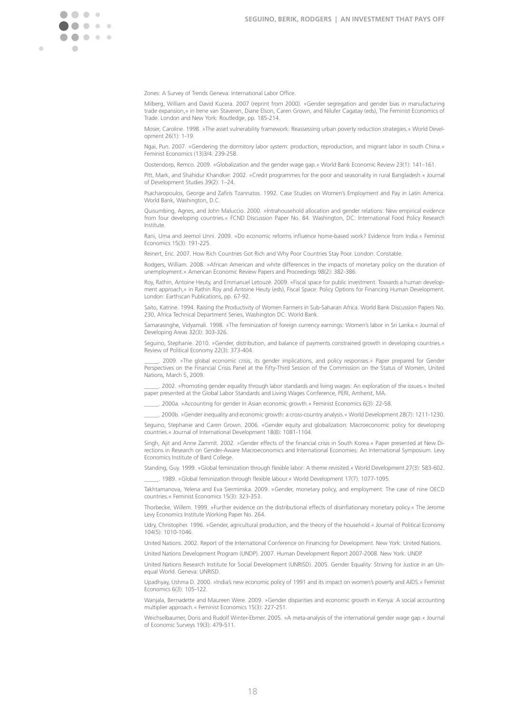Ċ

Zones: A Survey of Trends Geneva: International Labor Office.

Milberg, William and David Kucera. 2007 (reprint from 2000). »Gender segregation and gender bias in manufacturing trade expansion,« in Irene van Staveren, Diane Elson, Caren Grown, and Nilufer Cagatay (eds), The Feminist Economics of Trade. London and New York: Routledge, pp. 185-214.

Moser, Caroline. 1998. »The asset vulnerability framework: Reassessing urban poverty reduction strategies.« World Development 26(1): 1-19.

Ngai, Pun. 2007. »Gendering the dormitory labor system: production, reproduction, and migrant labor in south China.« Feminist Economics (13)3/4: 239-258.

Oostendorp, Remco. 2009. »Globalization and the gender wage gap.« World Bank Economic Review 23(1): 141–161.

Pitt, Mark, and Shahidur Khandker. 2002. »Credit programmes for the poor and seasonality in rural Bangladesh.« Journal of Development Studies 39(2): 1–24.

Psacharopoulos, George and Zafiris Tzannatos. 1992. Case Studies on Women's Employment and Pay in Latin America. World Bank, Washington, D.C.

Quisumbing, Agnes, and John Maluccio. 2000. »Intrahousehold allocation and gender relations: New empirical evidence from four developing countries.« FCND Discussion Paper No. 84. Washington, DC: International Food Policy Research Institute.

Rani, Uma and Jeemol Unni, 2009. »Do economic reforms influence home-based work? Evidence from India.« Feminist Economics 15(3): 191-225.

Reinert, Eric. 2007. How Rich Countries Got Rich and Why Poor Countries Stay Poor. London: Constable.

Rodgers, William. 2008. »African American and white differences in the impacts of monetary policy on the duration of unemployment.« American Economic Review Papers and Proceedings 98(2): 382-386.

Roy, Rathin, Antoine Heuty, and Emmanuel Letouzé. 2009. »Fiscal space for public investment: Towards a human development approach,« in Rathin Roy and Antoine Heuty (eds), Fiscal Space: Policy Options for Financing Human Development. London: Earthscan Publications, pp. 67-92.

Saito, Katrine. 1994. Raising the Productivity of Women Farmers in Sub-Saharan Africa. World Bank Discussion Papers No. 230, Africa Technical Department Series, Washington DC: World Bank.

Samarasinghe, Vidyamali. 1998. »The feminization of foreign currency earnings: Women's labor in Sri Lanka.« Journal of Developing Areas 32(3): 303-326.

Seguino, Stephanie. 2010. »Gender, distribution, and balance of payments constrained growth in developing countries.« Review of Political Economy 22(3): 373-404.

2009. »The global economic crisis, its gender implications, and policy responses.« Paper prepared for Gender Perspectives on the Financial Crisis Panel at the Fifty-Third Session of the Commission on the Status of Women, United Nations, March 5, 2009

\_\_\_\_\_. 2002. »Promoting gender equality through labor standards and living wages: An exploration of the issues.« Invited paper presented at the Global Labor Standards and Living Wages Conference, PERI, Amherst, MA.

\_\_\_\_\_. 2000a. »Accounting for gender in Asian economic growth.« Feminist Economics 6(3): 22-58.

\_\_\_\_\_. 2000b. »Gender inequality and economic growth: a cross-country analysis.« World Development 28(7): 1211-1230.

Seguino, Stephanie and Caren Grown. 2006. »Gender equity and globalization: Macroeconomic policy for developing countries.« Journal of International Development 18(8): 1081-1104.

Singh, Ajit and Anne Zammit. 2002. »Gender effects of the financial crisis in South Korea.« Paper presented at New Directions in Research on Gender-Aware Macroeconomics and International Economies: An International Symposium. Levy Economics Institute of Bard College.

Standing, Guy. 1999. »Global feminization through flexible labor: A theme revisited.« World Development 27(3): 583-602. \_\_\_\_\_. 1989. »Global feminization through "exible labour.« World Development 17(7): 1077-1095.

Takhtamanova, Yelena and Eva Sierminska. 2009. »Gender, monetary policy, and employment: The case of nine OECD countries.« Feminist Economics 15(3): 323-353.

Thorbecke, Willem. 1999. »Further evidence on the distributional effects of disinflationary monetary policy.« The Jerome Levy Economics Institute Working Paper No. 264.

Udry, Christopher. 1996. »Gender, agricultural production, and the theory of the household.« Journal of Political Economy 104(5): 1010-1046.

United Nations. 2002. Report of the International Conference on Financing for Development. New York: United Nations.

United Nations Development Program (UNDP). 2007. Human Development Report 2007-2008. New York: UNDP.

United Nations Research Institute for Social Development (UNRISD). 2005. Gender Equality: Striving for Justice in an Unequal World. Geneva: UNRISD.

Upadhyay, Ushma D. 2000. »India's new economic policy of 1991 and its impact on women's poverty and AIDS.« Feminist Economics 6(3): 105-122.

Wanjala, Bernadette and Maureen Were. 2009. »Gender disparities and economic growth in Kenya: A social accounting multiplier approach.« Feminist Economics 15(3): 227-251.

Weichselbaumer, Doris and Rudolf Winter-Ebmer. 2005. »A meta-analysis of the international gender wage gap.« Journal of Economic Surveys 19(3): 479-511.